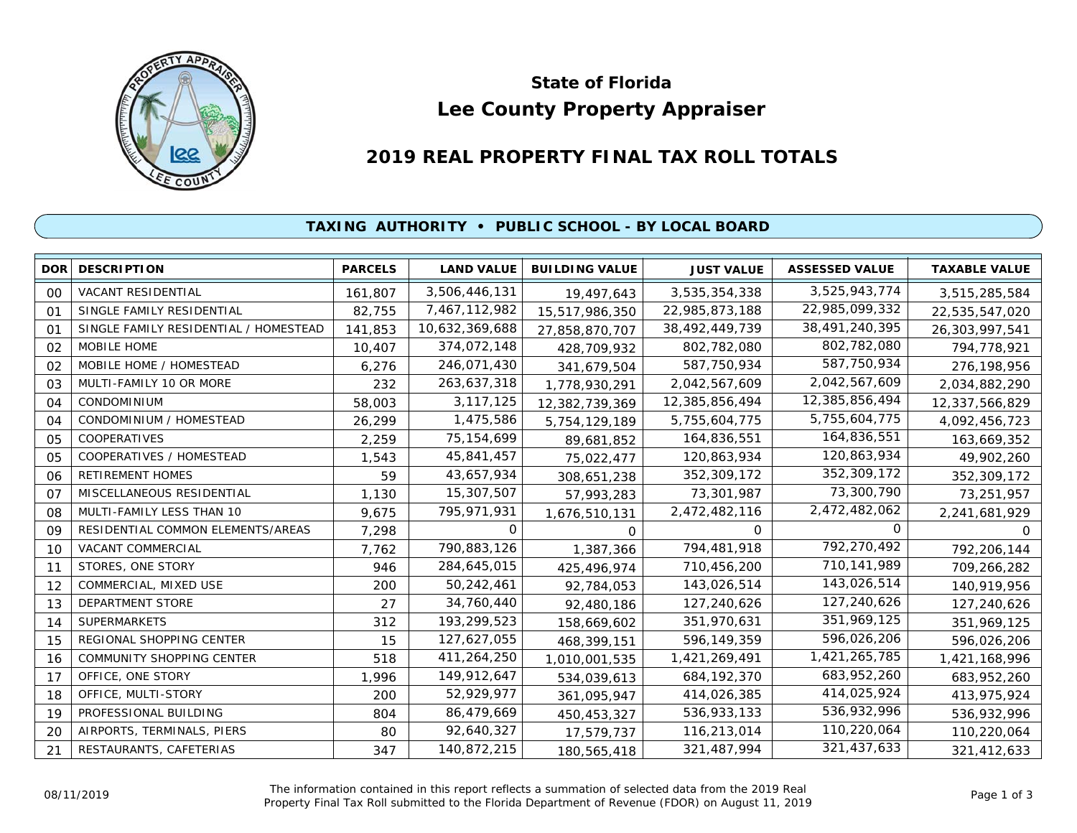

# **Lee County Property Appraiser State of Florida**

# **2019 REAL PROPERTY FINAL TAX ROLL TOTALS**

## **TAXING AUTHORITY • PUBLIC SCHOOL - BY LOCAL BOARD**

| <b>DOR</b>     | <b>DESCRIPTION</b>                    | <b>PARCELS</b> | <b>LAND VALUE</b> | <b>BUILDING VALUE</b> | <b>JUST VALUE</b> | <b>ASSESSED VALUE</b> | <b>TAXABLE VALUE</b> |
|----------------|---------------------------------------|----------------|-------------------|-----------------------|-------------------|-----------------------|----------------------|
| 00             | <b>VACANT RESIDENTIAL</b>             | 161,807        | 3,506,446,131     | 19,497,643            | 3,535,354,338     | 3,525,943,774         | 3,515,285,584        |
| 01             | SINGLE FAMILY RESIDENTIAL             | 82,755         | 7,467,112,982     | 15,517,986,350        | 22,985,873,188    | 22,985,099,332        | 22,535,547,020       |
| 01             | SINGLE FAMILY RESIDENTIAL / HOMESTEAD | 141,853        | 10,632,369,688    | 27,858,870,707        | 38,492,449,739    | 38,491,240,395        | 26,303,997,541       |
| 02             | MOBILE HOME                           | 10,407         | 374,072,148       | 428,709,932           | 802,782,080       | 802,782,080           | 794,778,921          |
| 02             | MOBILE HOME / HOMESTEAD               | 6,276          | 246,071,430       | 341,679,504           | 587,750,934       | 587,750,934           | 276,198,956          |
| 03             | MULTI-FAMILY 10 OR MORE               | 232            | 263,637,318       | 1,778,930,291         | 2,042,567,609     | 2,042,567,609         | 2,034,882,290        |
| 04             | <b>CONDOMINIUM</b>                    | 58,003         | 3,117,125         | 12,382,739,369        | 12,385,856,494    | 12,385,856,494        | 12,337,566,829       |
| 04             | CONDOMINIUM / HOMESTEAD               | 26,299         | 1,475,586         | 5,754,129,189         | 5,755,604,775     | 5,755,604,775         | 4,092,456,723        |
| 05             | COOPERATIVES                          | 2,259          | 75, 154, 699      | 89,681,852            | 164,836,551       | 164,836,551           | 163,669,352          |
| 05             | COOPERATIVES / HOMESTEAD              | 1,543          | 45,841,457        | 75,022,477            | 120,863,934       | 120,863,934           | 49,902,260           |
| 06             | <b>RETIREMENT HOMES</b>               | 59             | 43,657,934        | 308,651,238           | 352,309,172       | 352,309,172           | 352,309,172          |
| O <sub>7</sub> | MISCELLANEOUS RESIDENTIAL             | 1,130          | 15,307,507        | 57,993,283            | 73,301,987        | 73,300,790            | 73,251,957           |
| 08             | MULTI-FAMILY LESS THAN 10             | 9,675          | 795,971,931       | 1,676,510,131         | 2,472,482,116     | 2,472,482,062         | 2,241,681,929        |
| 09             | RESIDENTIAL COMMON ELEMENTS/AREAS     | 7,298          | 0                 | $\Omega$              | $\Omega$          | 0                     | 0                    |
| 10             | VACANT COMMERCIAL                     | 7,762          | 790,883,126       | 1,387,366             | 794,481,918       | 792,270,492           | 792,206,144          |
| 11             | STORES, ONE STORY                     | 946            | 284,645,015       | 425,496,974           | 710,456,200       | 710,141,989           | 709,266,282          |
| 12             | COMMERCIAL, MIXED USE                 | 200            | 50,242,461        | 92,784,053            | 143,026,514       | 143,026,514           | 140,919,956          |
| 13             | <b>DEPARTMENT STORE</b>               | 27             | 34,760,440        | 92,480,186            | 127,240,626       | 127,240,626           | 127,240,626          |
| 14             | <b>SUPERMARKETS</b>                   | 312            | 193,299,523       | 158,669,602           | 351,970,631       | 351,969,125           | 351,969,125          |
| 15             | REGIONAL SHOPPING CENTER              | 15             | 127,627,055       | 468,399,151           | 596,149,359       | 596,026,206           | 596,026,206          |
| 16             | COMMUNITY SHOPPING CENTER             | 518            | 411,264,250       | 1,010,001,535         | 1,421,269,491     | 1,421,265,785         | 1,421,168,996        |
| 17             | OFFICE, ONE STORY                     | 1,996          | 149,912,647       | 534,039,613           | 684, 192, 370     | 683,952,260           | 683,952,260          |
| 18             | OFFICE, MULTI-STORY                   | 200            | 52,929,977        | 361,095,947           | 414,026,385       | 414,025,924           | 413,975,924          |
| 19             | PROFESSIONAL BUILDING                 | 804            | 86,479,669        | 450,453,327           | 536,933,133       | 536,932,996           | 536,932,996          |
| 20             | AIRPORTS, TERMINALS, PIERS            | 80             | 92,640,327        | 17,579,737            | 116,213,014       | 110,220,064           | 110,220,064          |
| 21             | RESTAURANTS, CAFETERIAS               | 347            | 140,872,215       | 180,565,418           | 321,487,994       | 321,437,633           | 321,412,633          |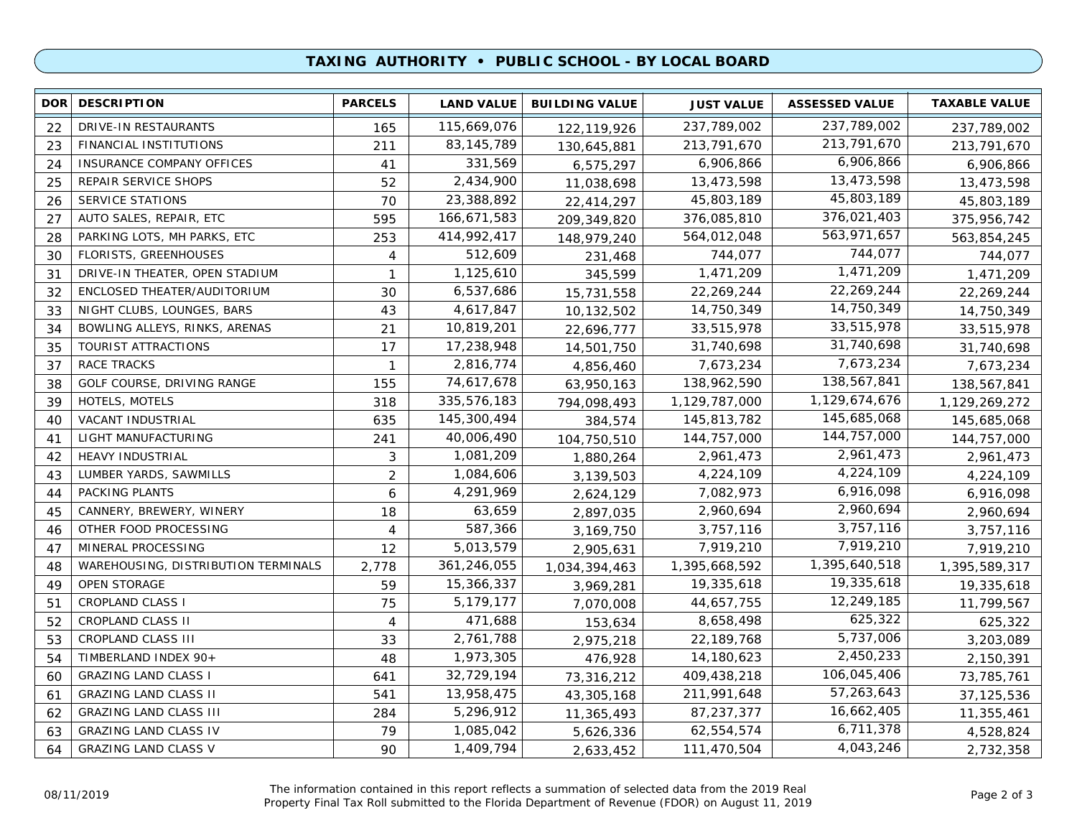### **TAXING AUTHORITY • PUBLIC SCHOOL - BY LOCAL BOARD**

| <b>DOR</b> | <b>DESCRIPTION</b>                  | <b>PARCELS</b> | <b>LAND VALUE</b> | <b>BUILDING VALUE</b> | <b>JUST VALUE</b> | <b>ASSESSED VALUE</b> | <b>TAXABLE VALUE</b> |
|------------|-------------------------------------|----------------|-------------------|-----------------------|-------------------|-----------------------|----------------------|
| 22         | DRIVE-IN RESTAURANTS                | 165            | 115,669,076       | 122,119,926           | 237,789,002       | 237,789,002           | 237,789,002          |
| 23         | FINANCIAL INSTITUTIONS              | 211            | 83, 145, 789      | 130,645,881           | 213,791,670       | 213,791,670           | 213,791,670          |
| 24         | INSURANCE COMPANY OFFICES           | 41             | 331,569           | 6,575,297             | 6,906,866         | 6,906,866             | 6,906,866            |
| 25         | REPAIR SERVICE SHOPS                | 52             | 2,434,900         | 11,038,698            | 13,473,598        | 13,473,598            | 13,473,598           |
| 26         | <b>SERVICE STATIONS</b>             | 70             | 23,388,892        | 22,414,297            | 45,803,189        | 45,803,189            | 45,803,189           |
| 27         | AUTO SALES, REPAIR, ETC             | 595            | 166,671,583       | 209,349,820           | 376,085,810       | 376,021,403           | 375,956,742          |
| 28         | PARKING LOTS, MH PARKS, ETC         | 253            | 414,992,417       | 148,979,240           | 564,012,048       | 563,971,657           | 563,854,245          |
| 30         | <b>FLORISTS, GREENHOUSES</b>        | $\overline{4}$ | 512,609           | 231,468               | 744,077           | 744,077               | 744,077              |
| 31         | DRIVE-IN THEATER, OPEN STADIUM      | $\mathbf{1}$   | 1,125,610         | 345,599               | 1,471,209         | 1,471,209             | 1,471,209            |
| 32         | ENCLOSED THEATER/AUDITORIUM         | 30             | 6,537,686         | 15,731,558            | 22,269,244        | 22,269,244            | 22,269,244           |
| 33         | NIGHT CLUBS, LOUNGES, BARS          | 43             | 4,617,847         | 10,132,502            | 14,750,349        | 14,750,349            | 14,750,349           |
| 34         | BOWLING ALLEYS, RINKS, ARENAS       | 21             | 10,819,201        | 22,696,777            | 33,515,978        | 33,515,978            | 33,515,978           |
| 35         | TOURIST ATTRACTIONS                 | 17             | 17,238,948        | 14,501,750            | 31,740,698        | 31,740,698            | 31,740,698           |
| 37         | RACE TRACKS                         | $\mathbf{1}$   | 2,816,774         | 4,856,460             | 7,673,234         | 7,673,234             | 7,673,234            |
| 38         | GOLF COURSE, DRIVING RANGE          | 155            | 74,617,678        | 63,950,163            | 138,962,590       | 138,567,841           | 138,567,841          |
| 39         | HOTELS, MOTELS                      | 318            | 335,576,183       | 794,098,493           | 1,129,787,000     | 1,129,674,676         | 1,129,269,272        |
| 40         | VACANT INDUSTRIAL                   | 635            | 145,300,494       | 384,574               | 145,813,782       | 145,685,068           | 145,685,068          |
| 41         | LIGHT MANUFACTURING                 | 241            | 40,006,490        | 104,750,510           | 144,757,000       | 144,757,000           | 144,757,000          |
| 42         | HEAVY INDUSTRIAL                    | 3              | 1,081,209         | 1,880,264             | 2,961,473         | 2,961,473             | 2,961,473            |
| 43         | LUMBER YARDS, SAWMILLS              | $\overline{2}$ | 1,084,606         | 3,139,503             | 4,224,109         | 4,224,109             | 4,224,109            |
| 44         | PACKING PLANTS                      | 6              | 4,291,969         | 2,624,129             | 7,082,973         | 6,916,098             | 6,916,098            |
| 45         | CANNERY, BREWERY, WINERY            | 18             | 63,659            | 2,897,035             | 2,960,694         | 2,960,694             | 2,960,694            |
| 46         | OTHER FOOD PROCESSING               | 4              | 587,366           | 3,169,750             | 3,757,116         | 3,757,116             | 3,757,116            |
| 47         | MINERAL PROCESSING                  | 12             | 5,013,579         | 2,905,631             | 7,919,210         | 7,919,210             | 7,919,210            |
| 48         | WAREHOUSING, DISTRIBUTION TERMINALS | 2,778          | 361,246,055       | 1,034,394,463         | 1,395,668,592     | 1,395,640,518         | 1,395,589,317        |
| 49         | OPEN STORAGE                        | 59             | 15,366,337        | 3,969,281             | 19,335,618        | 19,335,618            | 19,335,618           |
| 51         | <b>CROPLAND CLASS I</b>             | 75             | 5,179,177         | 7,070,008             | 44,657,755        | 12,249,185            | 11,799,567           |
| 52         | <b>CROPLAND CLASS II</b>            | $\overline{4}$ | 471,688           | 153,634               | 8,658,498         | 625,322               | 625,322              |
| 53         | CROPLAND CLASS III                  | 33             | 2,761,788         | 2,975,218             | 22,189,768        | 5,737,006             | 3,203,089            |
| 54         | TIMBERLAND INDEX 90+                | 48             | 1,973,305         | 476,928               | 14,180,623        | 2,450,233             | 2,150,391            |
| 60         | <b>GRAZING LAND CLASS I</b>         | 641            | 32,729,194        | 73,316,212            | 409,438,218       | 106,045,406           | 73,785,761           |
| 61         | <b>GRAZING LAND CLASS II</b>        | 541            | 13,958,475        | 43,305,168            | 211,991,648       | 57,263,643            | 37, 125, 536         |
| 62         | <b>GRAZING LAND CLASS III</b>       | 284            | 5,296,912         | 11,365,493            | 87,237,377        | 16,662,405            | 11,355,461           |
| 63         | <b>GRAZING LAND CLASS IV</b>        | 79             | 1,085,042         | 5,626,336             | 62,554,574        | 6,711,378             | 4,528,824            |
| 64         | <b>GRAZING LAND CLASS V</b>         | 90             | 1,409,794         | 2,633,452             | 111,470,504       | 4,043,246             | 2,732,358            |